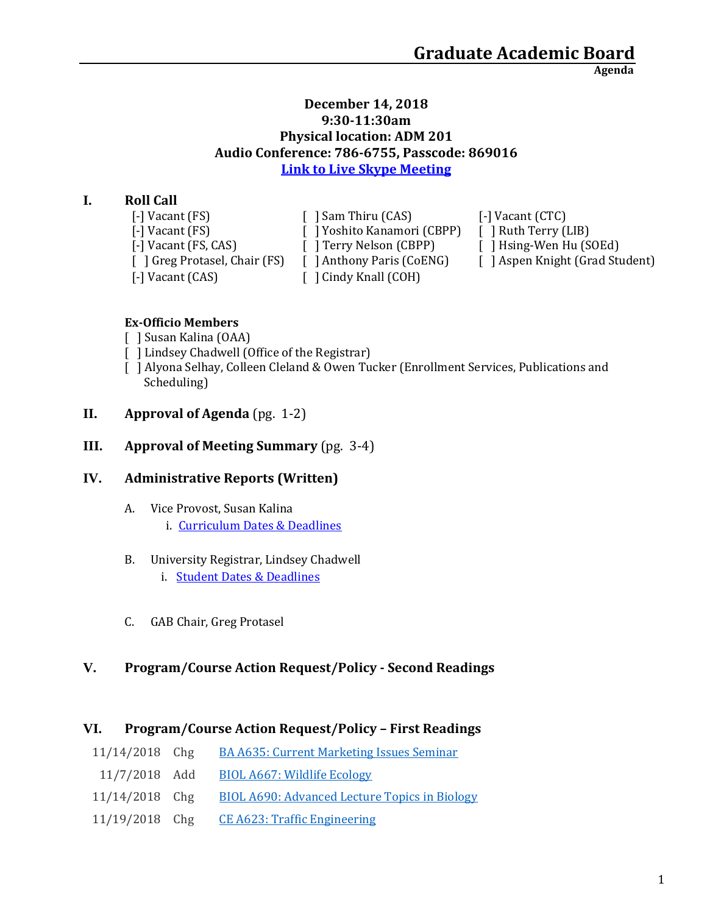**Agenda**

## **December 14, 2018 9:30-11:30am Physical location: ADM 201 Audio Conference: 786-6755, Passcode: 869016 [Link to Live Skype Meeting](https://meet.uaa.alaska.edu/hmtilicki/92UD6JFS)**

# **I. Roll Call**

| $\lceil - \rceil$ Vacant $(FS)$    | [ ] Sam Thiru (CAS)                 | $\lceil$ -] Vacant (CTC)        |
|------------------------------------|-------------------------------------|---------------------------------|
| $\lceil - \rceil$ Vacant $(FS)$    | [ ] Yoshito Kanamori (CBPP)         | [ ] Ruth Terry (LIB)            |
| $\lceil - \rceil$ Vacant (FS, CAS) | [ ] Terry Nelson (CBPP)             | [ ] Hsing-Wen Hu (SOEd)         |
| [ ] Greg Protasel, Chair (FS)      | [ ] Anthony Paris (CoENG)           | [ ] Aspen Knight (Grad Student) |
| $\lceil - \rceil$ Vacant (CAS)     | $\lceil$ $\lceil$ Cindy Knall (COH) |                                 |

## **Ex-Officio Members**

- [ ] Susan Kalina (OAA)
- [ ] Lindsey Chadwell (Office of the Registrar)
- [ ] Alyona Selhay, Colleen Cleland & Owen Tucker (Enrollment Services, Publications and Scheduling)
- **II. Approval of Agenda** (pg. 1-2)
- **III. Approval of Meeting Summary** (pg. 3-4)

# **IV. Administrative Reports (Written)**

- A. Vice Provost, Susan Kalina
	- i. [Curriculum Dates & Deadlines](https://www.uaa.alaska.edu/academics/office-of-academic-affairs/dates-and-deadlines.cshtml)

## B. University Registrar, Lindsey Chadwell

- i. [Student Dates & Deadlines](https://www.uaa.alaska.edu/students/registrar/registration/index.cshtml#fndtn-panel14-1)
- C. GAB Chair, Greg Protasel

# **V. Program/Course Action Request/Policy - Second Readings**

## **VI. Program/Course Action Request/Policy – First Readings**

- 11/14/2018 Chg [BA A635: Current Marketing Issues Seminar](https://nextcatalog.uaa.alaska.edu/courseleaf/courseleaf.cgi?page=/courseadmin/946/index.html&step=tcadiff)
- 11/7/2018 Add [BIOL A667: Wildlife Ecology](https://nextcatalog.uaa.alaska.edu/courseleaf/courseleaf.cgi?page=/courseadmin/8437/index.html&step=tcadiff)
- 11/14/2018 Chg [BIOL A690: Advanced Lecture Topics in Biology](https://nextcatalog.uaa.alaska.edu/courseleaf/courseleaf.cgi?page=/courseadmin/1184/index.html&step=tcadiff)
- 11/19/2018 Chg [CE A623: Traffic Engineering](https://nextcatalog.uaa.alaska.edu/courseleaf/courseleaf.cgi?page=/courseadmin/1291/index.html&step=tcadiff)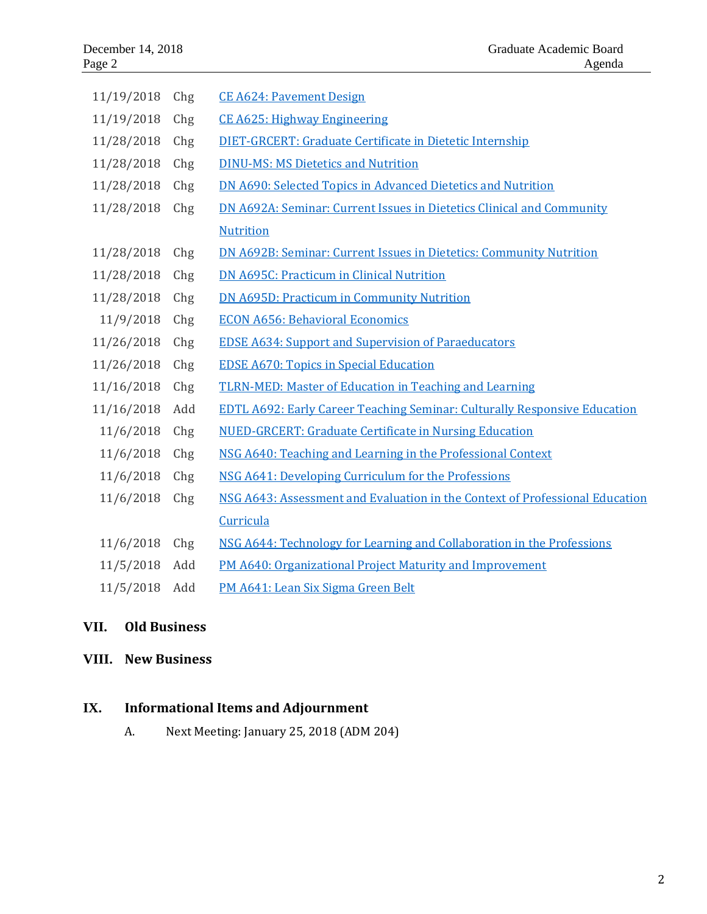| 11/19/2018 | Chg | <b>CE A624: Pavement Design</b>                                                  |
|------------|-----|----------------------------------------------------------------------------------|
| 11/19/2018 | Chg | <b>CE A625: Highway Engineering</b>                                              |
| 11/28/2018 | Chg | DIET-GRCERT: Graduate Certificate in Dietetic Internship                         |
| 11/28/2018 | Chg | <b>DINU-MS: MS Dietetics and Nutrition</b>                                       |
| 11/28/2018 | Chg | DN A690: Selected Topics in Advanced Dietetics and Nutrition                     |
| 11/28/2018 | Chg | DN A692A: Seminar: Current Issues in Dietetics Clinical and Community            |
|            |     | <b>Nutrition</b>                                                                 |
| 11/28/2018 | Chg | <b>DN A692B: Seminar: Current Issues in Dietetics: Community Nutrition</b>       |
| 11/28/2018 | Chg | <b>DN A695C: Practicum in Clinical Nutrition</b>                                 |
| 11/28/2018 | Chg | <b>DN A695D: Practicum in Community Nutrition</b>                                |
| 11/9/2018  | Chg | <b>ECON A656: Behavioral Economics</b>                                           |
| 11/26/2018 | Chg | <b>EDSE A634: Support and Supervision of Paraeducators</b>                       |
| 11/26/2018 | Chg | <b>EDSE A670: Topics in Special Education</b>                                    |
| 11/16/2018 | Chg | <b>TLRN-MED: Master of Education in Teaching and Learning</b>                    |
| 11/16/2018 | Add | <b>EDTL A692: Early Career Teaching Seminar: Culturally Responsive Education</b> |
| 11/6/2018  | Chg | <b>NUED-GRCERT: Graduate Certificate in Nursing Education</b>                    |
| 11/6/2018  | Chg | NSG A640: Teaching and Learning in the Professional Context                      |
| 11/6/2018  | Chg | NSG A641: Developing Curriculum for the Professions                              |
| 11/6/2018  | Chg | NSG A643: Assessment and Evaluation in the Context of Professional Education     |
|            |     | Curricula                                                                        |
| 11/6/2018  | Chg | NSG A644: Technology for Learning and Collaboration in the Professions           |
| 11/5/2018  | Add | PM A640: Organizational Project Maturity and Improvement                         |
| 11/5/2018  | Add | PM A641: Lean Six Sigma Green Belt                                               |

# **VII. Old Business**

# **VIII. New Business**

# **IX. Informational Items and Adjournment**

A. Next Meeting: January 25, 2018 (ADM 204)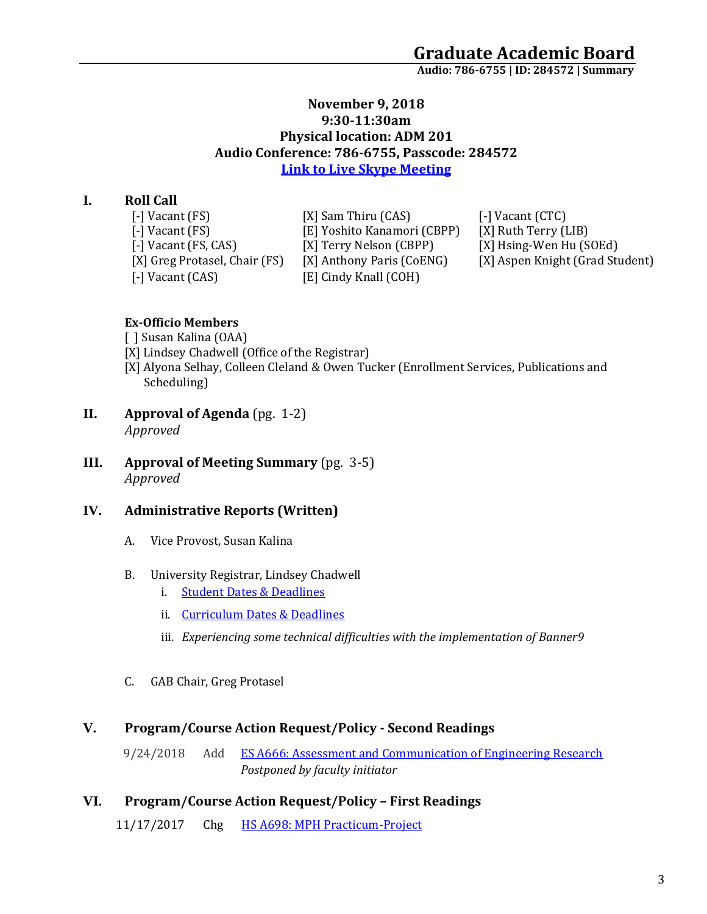**Audio: 786-6755 | ID: 284572 <sup>|</sup> Summary**

#### **November 9, 2018 9:30-11:30am Physical location: ADM 201 Audio Conference: 786-6755, Passcode: 284572 [Link to Live Skype Meeting](https://meet.uaa.alaska.edu/mdmarron/GR8HB6P7)**

## **I. Roll Call**

| [-] Vacant (FS)              |
|------------------------------|
| [-] Vacant (FS)              |
| [-] Vacant (FS, CAS)         |
| [X] Greg Protasel, Chair (FS |
| [-] Vacant (CAS)             |

[X] Sam Thiru (CAS) [-] Vacant (CTC)<br>[E] Yoshito Kanamori (CBPP) [X] Ruth Terry (LIB) [E] Yoshito Kanamori (CBPP)<br>[X] Terry Nelson (CBPP) [X] Terry Nelson (CBPP) [X] Hsing-Wen Hu (SOEd)<br>5) [X] Anthony Paris (CoENG) [X] Aspen Knight (Grad Stu [E] Cindy Knall (COH)

[X] Aspen Knight (Grad Student)

#### **Ex-Officio Members**

- [ ] Susan Kalina (OAA)
- [X] Lindsey Chadwell (Office of the Registrar)
- [X] Alyona Selhay, Colleen Cleland & Owen Tucker (Enrollment Services, Publications and Scheduling)
- **II. Approval of Agenda** (pg. 1-2) *Approved*
- **III. Approval of Meeting Summary** (pg. 3-5) *Approved*

## **IV. Administrative Reports (Written)**

- A. Vice Provost, Susan Kalina
- B. University Registrar, Lindsey Chadwell
	- i. Student Dates & Deadlines
	- ii. Curriculum Dates & Deadlines
	- iii. *Experiencing some technical difficulties with the implementation of Banner9*
- C. GAB Chair, Greg Protasel

#### **V. Program/Course Action Request/Policy - Second Readings**

9/24/2018 Add [ES A666: Assessment and Communication of Engineering Research](https://nextcatalog.uaa.alaska.edu/courseleaf/courseleaf.cgi?page=/courseadmin/8305/index.html&step=tcadiff) *Postponed by faculty initiator*

#### **VI. Program/Course Action Request/Policy – First Readings**

11/17/2017 Chg [HS A698: MPH Practicum-Project](https://nextcatalog.uaa.alaska.edu/courseleaf/courseleaf.cgi?page=/courseadmin/3801/index.html&step=tcadiff)